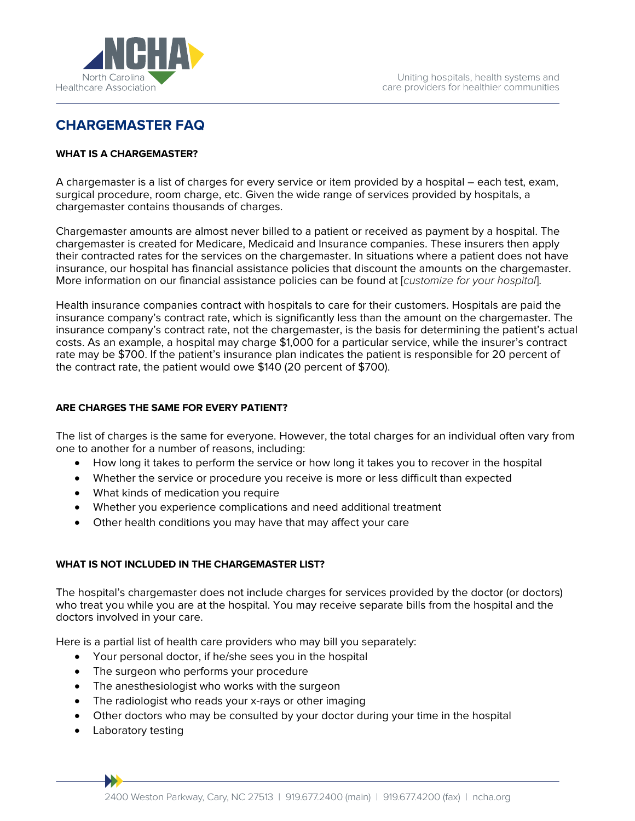

# **CHARGEMASTER FAQ**

#### **WHAT IS A CHARGEMASTER?**

A chargemaster is a list of charges for every service or item provided by a hospital – each test, exam, surgical procedure, room charge, etc. Given the wide range of services provided by hospitals, a chargemaster contains thousands of charges.

Chargemaster amounts are almost never billed to a patient or received as payment by a hospital. The chargemaster is created for Medicare, Medicaid and Insurance companies. These insurers then apply their contracted rates for the services on the chargemaster. In situations where a patient does not have insurance, our hospital has financial assistance policies that discount the amounts on the chargemaster. More information on our financial assistance policies can be found at [*customize for your hospital*].

Health insurance companies contract with hospitals to care for their customers. Hospitals are paid the insurance company's contract rate, which is significantly less than the amount on the chargemaster. The insurance company's contract rate, not the chargemaster, is the basis for determining the patient's actual costs. As an example, a hospital may charge \$1,000 for a particular service, while the insurer's contract rate may be \$700. If the patient's insurance plan indicates the patient is responsible for 20 percent of the contract rate, the patient would owe \$140 (20 percent of \$700).

## **ARE CHARGES THE SAME FOR EVERY PATIENT?**

The list of charges is the same for everyone. However, the total charges for an individual often vary from one to another for a number of reasons, including:

- How long it takes to perform the service or how long it takes you to recover in the hospital
- Whether the service or procedure you receive is more or less difficult than expected
- What kinds of medication you require
- Whether you experience complications and need additional treatment
- Other health conditions you may have that may affect your care

#### **WHAT IS NOT INCLUDED IN THE CHARGEMASTER LIST?**

The hospital's chargemaster does not include charges for services provided by the doctor (or doctors) who treat you while you are at the hospital. You may receive separate bills from the hospital and the doctors involved in your care.

Here is a partial list of health care providers who may bill you separately:

- Your personal doctor, if he/she sees you in the hospital
- The surgeon who performs your procedure
- The anesthesiologist who works with the surgeon
- The radiologist who reads your x-rays or other imaging
- Other doctors who may be consulted by your doctor during your time in the hospital
- Laboratory testing